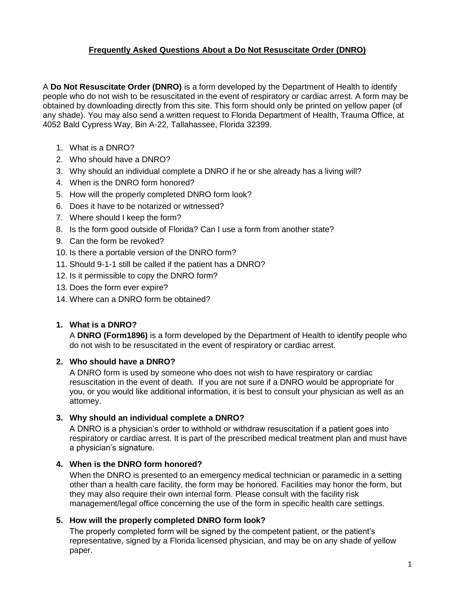## **Frequently Asked Questions About a Do Not Resuscitate Order (DNRO)**

A **Do Not Resuscitate Order (DNRO)** is a form developed by the Department of Health to identify people who do not wish to be resuscitated in the event of respiratory or cardiac arrest. A form may be obtained by downloading directly from this site. This form should only be printed on yellow paper (of any shade). You may also send a written request to Florida Department of Health, Trauma Office, at 4052 Bald Cypress Way, Bin A-22, Tallahassee, Florida 32399.

- 1. What is a DNRO?
- 2. Who should have a DNRO?
- 3. Why should an individual complete a DNRO if he or she already has a living will?
- 4. When is the DNRO form honored?
- 5. How will the properly completed DNRO form look?
- 6. Does it have to be notarized or witnessed?
- 7. Where should I keep the form?
- 8. Is the form good outside of Florida? Can I use a form from another state?
- 9. Can the form be revoked?
- 10. Is there a portable version of the DNRO form?
- 11. Should 9-1-1 still be called if the patient has a DNRO?
- 12. Is it permissible to copy the DNRO form?
- 13. Does the form ever expire?
- 14. Where can a DNRO form be obtained?

#### **1. What is a DNRO?**

A **DNRO (Form1896)** is a form developed by the Department of Health to identify people who do not wish to be resuscitated in the event of respiratory or cardiac arrest.

#### **2. Who should have a DNRO?**

A DNRO form is used by someone who does not wish to have respiratory or cardiac resuscitation in the event of death. If you are not sure if a DNRO would be appropriate for you, or you would like additional information, it is best to consult your physician as well as an attorney.

#### **3. Why should an individual complete a DNRO?**

A DNRO is a physician's order to withhold or withdraw resuscitation if a patient goes into respiratory or cardiac arrest. It is part of the prescribed medical treatment plan and must have a physician's signature.

# **4. When is the DNRO form honored?**

When the DNRO is presented to an emergency medical technician or paramedic in a setting other than a health care facility, the form may be honored. Facilities may honor the form, but they may also require their own internal form. Please consult with the facility risk management/legal office concerning the use of the form in specific health care settings.

# **5. How will the properly completed DNRO form look?**

The properly completed form will be signed by the competent patient, or the patient's representative, signed by a Florida licensed physician, and may be on any shade of yellow paper.